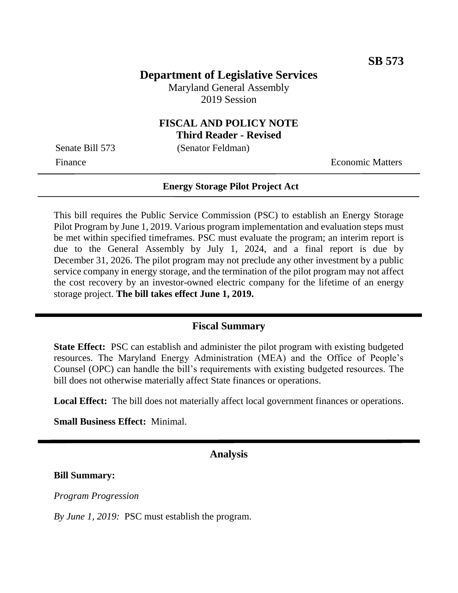# **Department of Legislative Services**

Maryland General Assembly 2019 Session

# **FISCAL AND POLICY NOTE**

**Third Reader - Revised**

Senate Bill 573 (Senator Feldman)

Finance **Exercífical Economic Matters** 

#### **Energy Storage Pilot Project Act**

This bill requires the Public Service Commission (PSC) to establish an Energy Storage Pilot Program by June 1, 2019. Various program implementation and evaluation steps must be met within specified timeframes. PSC must evaluate the program; an interim report is due to the General Assembly by July 1, 2024, and a final report is due by December 31, 2026. The pilot program may not preclude any other investment by a public service company in energy storage, and the termination of the pilot program may not affect the cost recovery by an investor-owned electric company for the lifetime of an energy storage project. **The bill takes effect June 1, 2019.**

### **Fiscal Summary**

**State Effect:** PSC can establish and administer the pilot program with existing budgeted resources. The Maryland Energy Administration (MEA) and the Office of People's Counsel (OPC) can handle the bill's requirements with existing budgeted resources. The bill does not otherwise materially affect State finances or operations.

**Local Effect:** The bill does not materially affect local government finances or operations.

**Small Business Effect:** Minimal.

#### **Analysis**

#### **Bill Summary:**

*Program Progression*

*By June 1, 2019:* PSC must establish the program.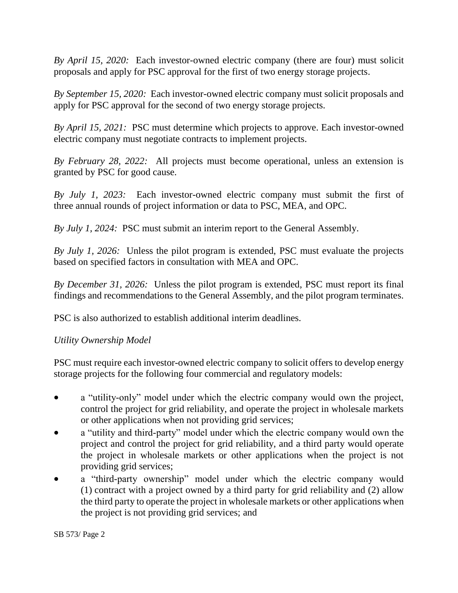*By April 15, 2020:* Each investor-owned electric company (there are four) must solicit proposals and apply for PSC approval for the first of two energy storage projects.

*By September 15, 2020:* Each investor-owned electric company must solicit proposals and apply for PSC approval for the second of two energy storage projects.

*By April 15, 2021:* PSC must determine which projects to approve. Each investor-owned electric company must negotiate contracts to implement projects.

*By February 28, 2022:* All projects must become operational, unless an extension is granted by PSC for good cause.

*By July 1, 2023:* Each investor-owned electric company must submit the first of three annual rounds of project information or data to PSC, MEA, and OPC.

*By July 1, 2024:* PSC must submit an interim report to the General Assembly.

*By July 1, 2026:* Unless the pilot program is extended, PSC must evaluate the projects based on specified factors in consultation with MEA and OPC.

*By December 31, 2026:* Unless the pilot program is extended, PSC must report its final findings and recommendations to the General Assembly, and the pilot program terminates.

PSC is also authorized to establish additional interim deadlines.

## *Utility Ownership Model*

PSC must require each investor-owned electric company to solicit offers to develop energy storage projects for the following four commercial and regulatory models:

- a "utility-only" model under which the electric company would own the project, control the project for grid reliability, and operate the project in wholesale markets or other applications when not providing grid services;
- a "utility and third-party" model under which the electric company would own the project and control the project for grid reliability, and a third party would operate the project in wholesale markets or other applications when the project is not providing grid services;
- a "third-party ownership" model under which the electric company would (1) contract with a project owned by a third party for grid reliability and (2) allow the third party to operate the project in wholesale markets or other applications when the project is not providing grid services; and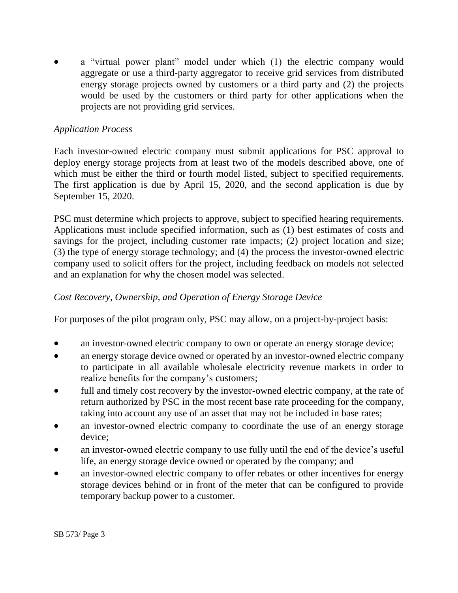a "virtual power plant" model under which (1) the electric company would aggregate or use a third-party aggregator to receive grid services from distributed energy storage projects owned by customers or a third party and (2) the projects would be used by the customers or third party for other applications when the projects are not providing grid services.

## *Application Process*

Each investor-owned electric company must submit applications for PSC approval to deploy energy storage projects from at least two of the models described above, one of which must be either the third or fourth model listed, subject to specified requirements. The first application is due by April 15, 2020, and the second application is due by September 15, 2020.

PSC must determine which projects to approve, subject to specified hearing requirements. Applications must include specified information, such as (1) best estimates of costs and savings for the project, including customer rate impacts; (2) project location and size; (3) the type of energy storage technology; and (4) the process the investor-owned electric company used to solicit offers for the project, including feedback on models not selected and an explanation for why the chosen model was selected.

# *Cost Recovery, Ownership, and Operation of Energy Storage Device*

For purposes of the pilot program only, PSC may allow, on a project-by-project basis:

- an investor-owned electric company to own or operate an energy storage device;
- an energy storage device owned or operated by an investor-owned electric company to participate in all available wholesale electricity revenue markets in order to realize benefits for the company's customers;
- full and timely cost recovery by the investor-owned electric company, at the rate of return authorized by PSC in the most recent base rate proceeding for the company, taking into account any use of an asset that may not be included in base rates;
- an investor-owned electric company to coordinate the use of an energy storage device;
- an investor-owned electric company to use fully until the end of the device's useful life, an energy storage device owned or operated by the company; and
- an investor-owned electric company to offer rebates or other incentives for energy storage devices behind or in front of the meter that can be configured to provide temporary backup power to a customer.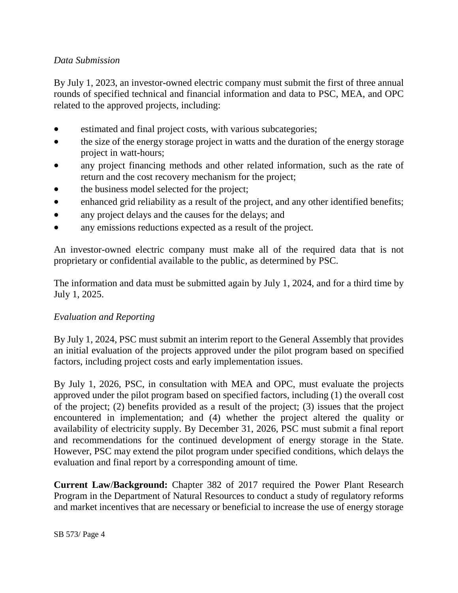# *Data Submission*

By July 1, 2023, an investor-owned electric company must submit the first of three annual rounds of specified technical and financial information and data to PSC, MEA, and OPC related to the approved projects, including:

- estimated and final project costs, with various subcategories;
- the size of the energy storage project in watts and the duration of the energy storage project in watt-hours;
- any project financing methods and other related information, such as the rate of return and the cost recovery mechanism for the project;
- the business model selected for the project;
- enhanced grid reliability as a result of the project, and any other identified benefits;
- any project delays and the causes for the delays; and
- any emissions reductions expected as a result of the project.

An investor-owned electric company must make all of the required data that is not proprietary or confidential available to the public, as determined by PSC.

The information and data must be submitted again by July 1, 2024, and for a third time by July 1, 2025.

## *Evaluation and Reporting*

By July 1, 2024, PSC must submit an interim report to the General Assembly that provides an initial evaluation of the projects approved under the pilot program based on specified factors, including project costs and early implementation issues.

By July 1, 2026, PSC, in consultation with MEA and OPC, must evaluate the projects approved under the pilot program based on specified factors, including (1) the overall cost of the project; (2) benefits provided as a result of the project; (3) issues that the project encountered in implementation; and (4) whether the project altered the quality or availability of electricity supply. By December 31, 2026, PSC must submit a final report and recommendations for the continued development of energy storage in the State. However, PSC may extend the pilot program under specified conditions, which delays the evaluation and final report by a corresponding amount of time.

**Current Law**/**Background:** Chapter 382 of 2017 required the Power Plant Research Program in the Department of Natural Resources to conduct a study of regulatory reforms and market incentives that are necessary or beneficial to increase the use of energy storage